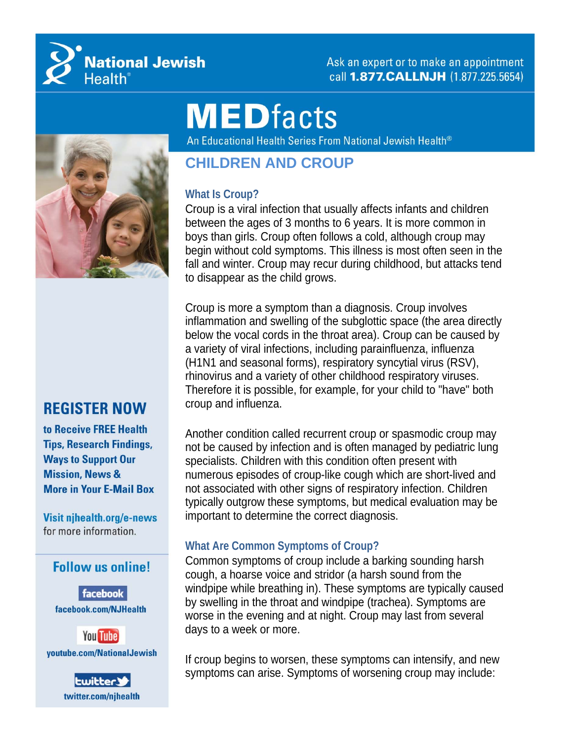

Ask an expert or to make an appointment call 1.877. CALLNJH (1.877.225.5654)

# **MEDfacts**

An Educational Health Series From National Jewish Health®



### **REGISTER NOW**

to Receive FREE Health **Tips, Research Findings, Ways to Support Our Mission, News & More in Your E-Mail Box** 

Visit njhealth.org/e-news for more information.

#### **Follow us online!**

facebook facebook.com/NJHealth



**Lwitter** twitter.com/njhealth

## **CHILDREN AND CROUP**

#### **What Is Croup?**

Croup is a viral infection that usually affects infants and children between the ages of 3 months to 6 years. It is more common in boys than girls. Croup often follows a cold, although croup may begin without cold symptoms. This illness is most often seen in the fall and winter. Croup may recur during childhood, but attacks tend to disappear as the child grows.

Croup is more a symptom than a diagnosis. Croup involves inflammation and swelling of the subglottic space (the area directly below the vocal cords in the throat area). Croup can be caused by a variety of viral infections, including parainfluenza, influenza (H1N1 and seasonal forms), respiratory syncytial virus (RSV), rhinovirus and a variety of other childhood respiratory viruses. Therefore it is possible, for example, for your child to "have" both croup and influenza.

Another condition called recurrent croup or spasmodic croup may not be caused by infection and is often managed by pediatric lung specialists. Children with this condition often present with numerous episodes of croup-like cough which are short-lived and not associated with other signs of respiratory infection. Children typically outgrow these symptoms, but medical evaluation may be important to determine the correct diagnosis.

#### **What Are Common Symptoms of Croup?**

Common symptoms of croup include a barking sounding harsh cough, a hoarse voice and stridor (a harsh sound from the windpipe while breathing in). These symptoms are typically caused by swelling in the throat and windpipe (trachea). Symptoms are worse in the evening and at night. Croup may last from several days to a week or more.

If croup begins to worsen, these symptoms can intensify, and new symptoms can arise. Symptoms of worsening croup may include: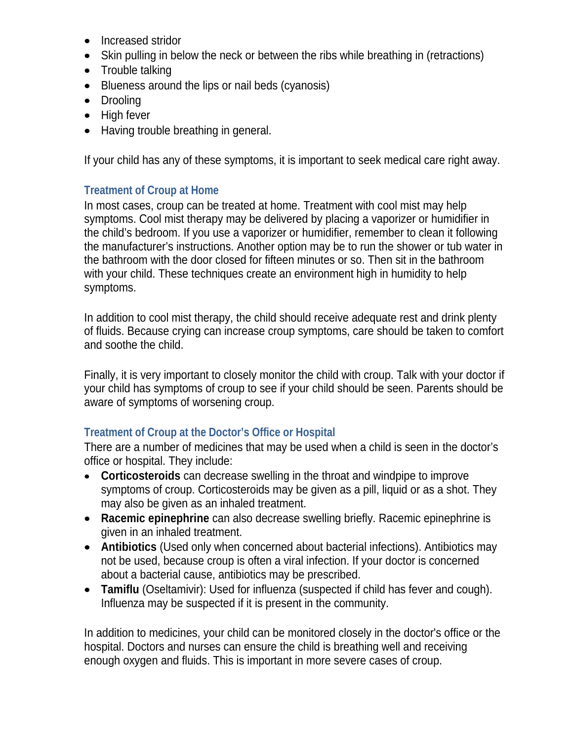- Increased stridor
- Skin pulling in below the neck or between the ribs while breathing in (retractions)
- Trouble talking
- Blueness around the lips or nail beds (cyanosis)
- Drooling
- High fever
- Having trouble breathing in general.

If your child has any of these symptoms, it is important to seek medical care right away.

#### **Treatment of Croup at Home**

In most cases, croup can be treated at home. Treatment with cool mist may help symptoms. Cool mist therapy may be delivered by placing a vaporizer or humidifier in the child's bedroom. If you use a vaporizer or humidifier, remember to clean it following the manufacturer's instructions. Another option may be to run the shower or tub water in the bathroom with the door closed for fifteen minutes or so. Then sit in the bathroom with your child. These techniques create an environment high in humidity to help symptoms.

In addition to cool mist therapy, the child should receive adequate rest and drink plenty of fluids. Because crying can increase croup symptoms, care should be taken to comfort and soothe the child.

Finally, it is very important to closely monitor the child with croup. Talk with your doctor if your child has symptoms of croup to see if your child should be seen. Parents should be aware of symptoms of worsening croup.

#### **Treatment of Croup at the Doctor's Office or Hospital**

There are a number of medicines that may be used when a child is seen in the doctor's office or hospital. They include:

- **Corticosteroids** can decrease swelling in the throat and windpipe to improve symptoms of croup. Corticosteroids may be given as a pill, liquid or as a shot. They may also be given as an inhaled treatment.
- **Racemic epinephrine** can also decrease swelling briefly. Racemic epinephrine is given in an inhaled treatment.
- **Antibiotics** (Used only when concerned about bacterial infections). Antibiotics may not be used, because croup is often a viral infection. If your doctor is concerned about a bacterial cause, antibiotics may be prescribed.
- **Tamiflu** (Oseltamivir): Used for influenza (suspected if child has fever and cough). Influenza may be suspected if it is present in the community.

In addition to medicines, your child can be monitored closely in the doctor's office or the hospital. Doctors and nurses can ensure the child is breathing well and receiving enough oxygen and fluids. This is important in more severe cases of croup.